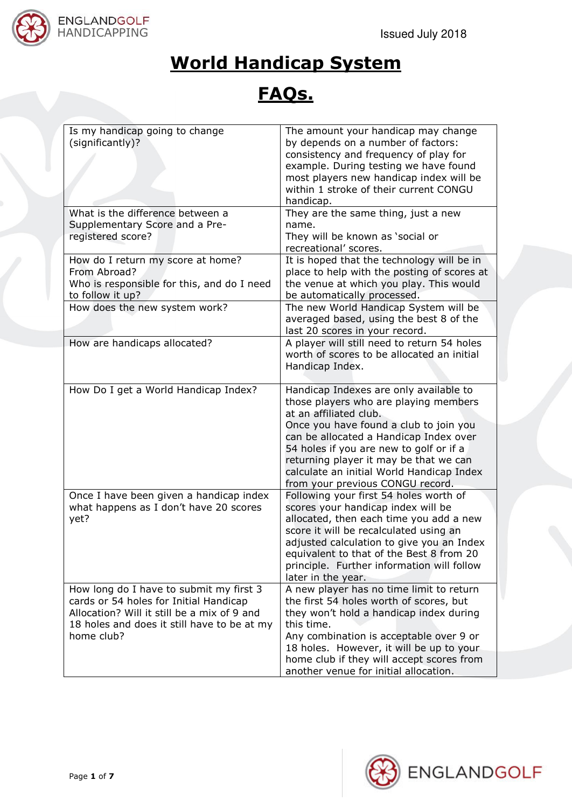

## **World Handicap System**

## **FAQs.**

| Is my handicap going to change<br>(significantly)?                                        | The amount your handicap may change<br>by depends on a number of factors:<br>consistency and frequency of play for<br>example. During testing we have found<br>most players new handicap index will be<br>within 1 stroke of their current CONGU<br>handicap.                                                                   |
|-------------------------------------------------------------------------------------------|---------------------------------------------------------------------------------------------------------------------------------------------------------------------------------------------------------------------------------------------------------------------------------------------------------------------------------|
| What is the difference between a                                                          | They are the same thing, just a new                                                                                                                                                                                                                                                                                             |
| Supplementary Score and a Pre-                                                            | name.                                                                                                                                                                                                                                                                                                                           |
| registered score?                                                                         | They will be known as 'social or                                                                                                                                                                                                                                                                                                |
|                                                                                           | recreational' scores.                                                                                                                                                                                                                                                                                                           |
| How do I return my score at home?<br>From Abroad?                                         | It is hoped that the technology will be in                                                                                                                                                                                                                                                                                      |
| Who is responsible for this, and do I need                                                | place to help with the posting of scores at<br>the venue at which you play. This would                                                                                                                                                                                                                                          |
| to follow it up?                                                                          | be automatically processed.                                                                                                                                                                                                                                                                                                     |
| How does the new system work?                                                             | The new World Handicap System will be<br>averaged based, using the best 8 of the<br>last 20 scores in your record.                                                                                                                                                                                                              |
| How are handicaps allocated?                                                              | A player will still need to return 54 holes<br>worth of scores to be allocated an initial<br>Handicap Index.                                                                                                                                                                                                                    |
| How Do I get a World Handicap Index?                                                      | Handicap Indexes are only available to<br>those players who are playing members<br>at an affiliated club.<br>Once you have found a club to join you<br>can be allocated a Handicap Index over<br>54 holes if you are new to golf or if a<br>returning player it may be that we can<br>calculate an initial World Handicap Index |
|                                                                                           | from your previous CONGU record.                                                                                                                                                                                                                                                                                                |
| Once I have been given a handicap index<br>what happens as I don't have 20 scores<br>yet? | Following your first 54 holes worth of<br>scores your handicap index will be<br>allocated, then each time you add a new<br>score it will be recalculated using an<br>adjusted calculation to give you an Index<br>equivalent to that of the Best 8 from 20<br>principle. Further information will follow<br>later in the year.  |
| How long do I have to submit my first 3<br>cards or 54 holes for Initial Handicap         | A new player has no time limit to return<br>the first 54 holes worth of scores, but                                                                                                                                                                                                                                             |
| Allocation? Will it still be a mix of 9 and                                               | they won't hold a handicap index during                                                                                                                                                                                                                                                                                         |
| 18 holes and does it still have to be at my                                               | this time.                                                                                                                                                                                                                                                                                                                      |
| home club?                                                                                | Any combination is acceptable over 9 or                                                                                                                                                                                                                                                                                         |
|                                                                                           | 18 holes. However, it will be up to your                                                                                                                                                                                                                                                                                        |
|                                                                                           | home club if they will accept scores from<br>another venue for initial allocation.                                                                                                                                                                                                                                              |

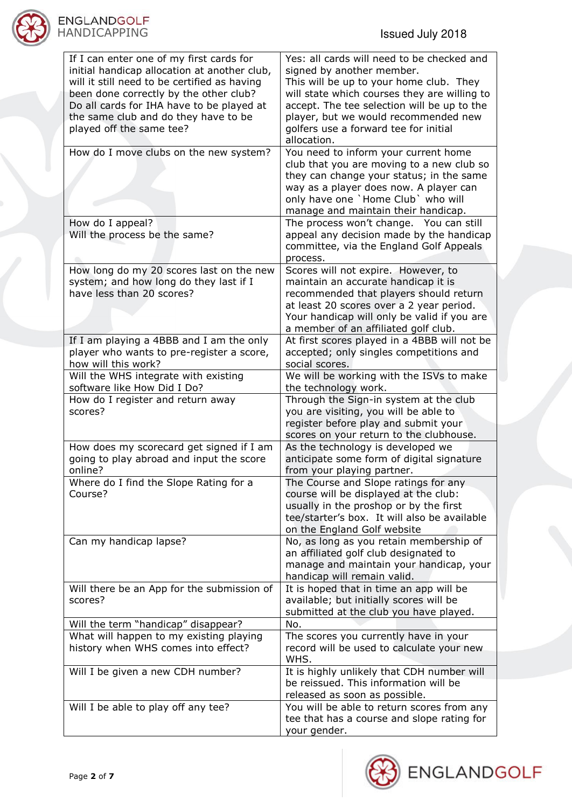

| If I can enter one of my first cards for<br>initial handicap allocation at another club,<br>will it still need to be certified as having<br>been done correctly by the other club?<br>Do all cards for IHA have to be played at<br>the same club and do they have to be<br>played off the same tee?<br>How do I move clubs on the new system? | Yes: all cards will need to be checked and<br>signed by another member.<br>This will be up to your home club. They<br>will state which courses they are willing to<br>accept. The tee selection will be up to the<br>player, but we would recommended new<br>golfers use a forward tee for initial<br>allocation.<br>You need to inform your current home |
|-----------------------------------------------------------------------------------------------------------------------------------------------------------------------------------------------------------------------------------------------------------------------------------------------------------------------------------------------|-----------------------------------------------------------------------------------------------------------------------------------------------------------------------------------------------------------------------------------------------------------------------------------------------------------------------------------------------------------|
|                                                                                                                                                                                                                                                                                                                                               | club that you are moving to a new club so<br>they can change your status; in the same<br>way as a player does now. A player can<br>only have one `Home Club` who will                                                                                                                                                                                     |
|                                                                                                                                                                                                                                                                                                                                               | manage and maintain their handicap.                                                                                                                                                                                                                                                                                                                       |
| How do I appeal?                                                                                                                                                                                                                                                                                                                              | The process won't change. You can still                                                                                                                                                                                                                                                                                                                   |
| Will the process be the same?                                                                                                                                                                                                                                                                                                                 | appeal any decision made by the handicap<br>committee, via the England Golf Appeals                                                                                                                                                                                                                                                                       |
|                                                                                                                                                                                                                                                                                                                                               | process.                                                                                                                                                                                                                                                                                                                                                  |
| How long do my 20 scores last on the new<br>system; and how long do they last if I<br>have less than 20 scores?                                                                                                                                                                                                                               | Scores will not expire. However, to<br>maintain an accurate handicap it is<br>recommended that players should return<br>at least 20 scores over a 2 year period.<br>Your handicap will only be valid if you are                                                                                                                                           |
|                                                                                                                                                                                                                                                                                                                                               | a member of an affiliated golf club.                                                                                                                                                                                                                                                                                                                      |
| If I am playing a 4BBB and I am the only<br>player who wants to pre-register a score,<br>how will this work?                                                                                                                                                                                                                                  | At first scores played in a 4BBB will not be<br>accepted; only singles competitions and<br>social scores.                                                                                                                                                                                                                                                 |
| Will the WHS integrate with existing<br>software like How Did I Do?                                                                                                                                                                                                                                                                           | We will be working with the ISVs to make<br>the technology work.                                                                                                                                                                                                                                                                                          |
| How do I register and return away<br>scores?                                                                                                                                                                                                                                                                                                  | Through the Sign-in system at the club<br>you are visiting, you will be able to<br>register before play and submit your                                                                                                                                                                                                                                   |
|                                                                                                                                                                                                                                                                                                                                               | scores on your return to the clubhouse.                                                                                                                                                                                                                                                                                                                   |
| How does my scorecard get signed if I am                                                                                                                                                                                                                                                                                                      | As the technology is developed we                                                                                                                                                                                                                                                                                                                         |
| going to play abroad and input the score<br>online?                                                                                                                                                                                                                                                                                           | anticipate some form of digital signature<br>from your playing partner.                                                                                                                                                                                                                                                                                   |
| Where do I find the Slope Rating for a<br>Course?                                                                                                                                                                                                                                                                                             | The Course and Slope ratings for any<br>course will be displayed at the club:<br>usually in the proshop or by the first                                                                                                                                                                                                                                   |
|                                                                                                                                                                                                                                                                                                                                               | tee/starter's box. It will also be available<br>on the England Golf website                                                                                                                                                                                                                                                                               |
| Can my handicap lapse?                                                                                                                                                                                                                                                                                                                        | No, as long as you retain membership of<br>an affiliated golf club designated to<br>manage and maintain your handicap, your<br>handicap will remain valid.                                                                                                                                                                                                |
| Will there be an App for the submission of                                                                                                                                                                                                                                                                                                    | It is hoped that in time an app will be                                                                                                                                                                                                                                                                                                                   |
| scores?                                                                                                                                                                                                                                                                                                                                       | available; but initially scores will be<br>submitted at the club you have played.                                                                                                                                                                                                                                                                         |
| Will the term "handicap" disappear?                                                                                                                                                                                                                                                                                                           | No.                                                                                                                                                                                                                                                                                                                                                       |
| What will happen to my existing playing                                                                                                                                                                                                                                                                                                       | The scores you currently have in your                                                                                                                                                                                                                                                                                                                     |
| history when WHS comes into effect?                                                                                                                                                                                                                                                                                                           | record will be used to calculate your new<br>WHS.                                                                                                                                                                                                                                                                                                         |
| Will I be given a new CDH number?                                                                                                                                                                                                                                                                                                             | It is highly unlikely that CDH number will<br>be reissued. This information will be                                                                                                                                                                                                                                                                       |
|                                                                                                                                                                                                                                                                                                                                               | released as soon as possible.                                                                                                                                                                                                                                                                                                                             |
| Will I be able to play off any tee?                                                                                                                                                                                                                                                                                                           | You will be able to return scores from any                                                                                                                                                                                                                                                                                                                |
|                                                                                                                                                                                                                                                                                                                                               | tee that has a course and slope rating for                                                                                                                                                                                                                                                                                                                |
|                                                                                                                                                                                                                                                                                                                                               | your gender.                                                                                                                                                                                                                                                                                                                                              |

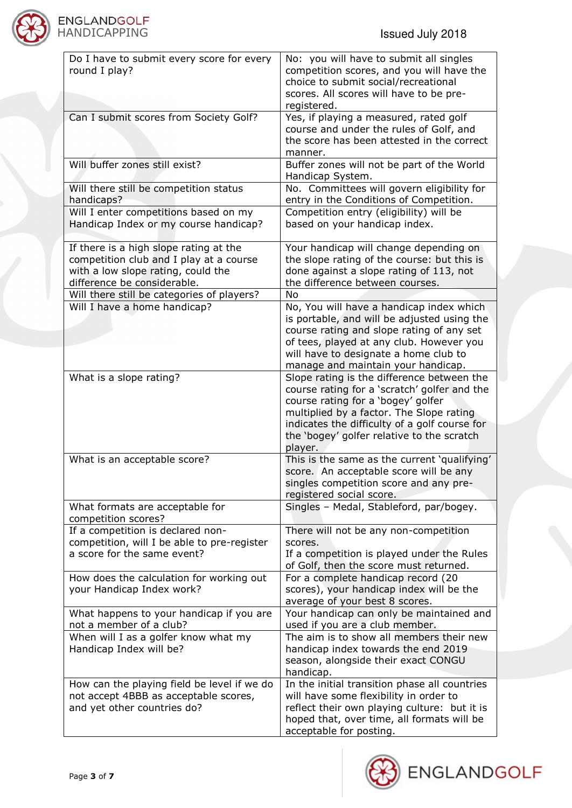

| Do I have to submit every score for every<br>round I play?                                                                                             | No: you will have to submit all singles<br>competition scores, and you will have the<br>choice to submit social/recreational<br>scores. All scores will have to be pre-<br>registered.                                        |
|--------------------------------------------------------------------------------------------------------------------------------------------------------|-------------------------------------------------------------------------------------------------------------------------------------------------------------------------------------------------------------------------------|
| Can I submit scores from Society Golf?                                                                                                                 | Yes, if playing a measured, rated golf<br>course and under the rules of Golf, and<br>the score has been attested in the correct<br>manner.                                                                                    |
| Will buffer zones still exist?                                                                                                                         | Buffer zones will not be part of the World<br>Handicap System.                                                                                                                                                                |
| Will there still be competition status<br>handicaps?                                                                                                   | No. Committees will govern eligibility for<br>entry in the Conditions of Competition.                                                                                                                                         |
| Will I enter competitions based on my<br>Handicap Index or my course handicap?                                                                         | Competition entry (eligibility) will be<br>based on your handicap index.                                                                                                                                                      |
| If there is a high slope rating at the<br>competition club and I play at a course<br>with a low slope rating, could the<br>difference be considerable. | Your handicap will change depending on<br>the slope rating of the course: but this is<br>done against a slope rating of 113, not<br>the difference between courses.                                                           |
| Will there still be categories of players?                                                                                                             | <b>No</b>                                                                                                                                                                                                                     |
| Will I have a home handicap?                                                                                                                           | No, You will have a handicap index which<br>is portable, and will be adjusted using the<br>course rating and slope rating of any set                                                                                          |
|                                                                                                                                                        | of tees, played at any club. However you<br>will have to designate a home club to<br>manage and maintain your handicap.                                                                                                       |
| What is a slope rating?                                                                                                                                | Slope rating is the difference between the<br>course rating for a 'scratch' golfer and the<br>course rating for a 'bogey' golfer<br>multiplied by a factor. The Slope rating<br>indicates the difficulty of a golf course for |
|                                                                                                                                                        | the 'bogey' golfer relative to the scratch<br>player.                                                                                                                                                                         |
| What is an acceptable score?                                                                                                                           | This is the same as the current 'qualifying'<br>score. An acceptable score will be any<br>singles competition score and any pre-<br>registered social score.                                                                  |
| What formats are acceptable for<br>competition scores?                                                                                                 | Singles - Medal, Stableford, par/bogey.                                                                                                                                                                                       |
| If a competition is declared non-<br>competition, will I be able to pre-register<br>a score for the same event?                                        | There will not be any non-competition<br>scores.<br>If a competition is played under the Rules<br>of Golf, then the score must returned.                                                                                      |
| How does the calculation for working out<br>your Handicap Index work?                                                                                  | For a complete handicap record (20<br>scores), your handicap index will be the<br>average of your best 8 scores.                                                                                                              |
| What happens to your handicap if you are<br>not a member of a club?                                                                                    | Your handicap can only be maintained and<br>used if you are a club member.                                                                                                                                                    |
| When will I as a golfer know what my<br>Handicap Index will be?                                                                                        | The aim is to show all members their new<br>handicap index towards the end 2019<br>season, alongside their exact CONGU<br>handicap.                                                                                           |
| How can the playing field be level if we do<br>not accept 4BBB as acceptable scores,<br>and yet other countries do?                                    | In the initial transition phase all countries<br>will have some flexibility in order to<br>reflect their own playing culture: but it is<br>hoped that, over time, all formats will be<br>acceptable for posting.              |

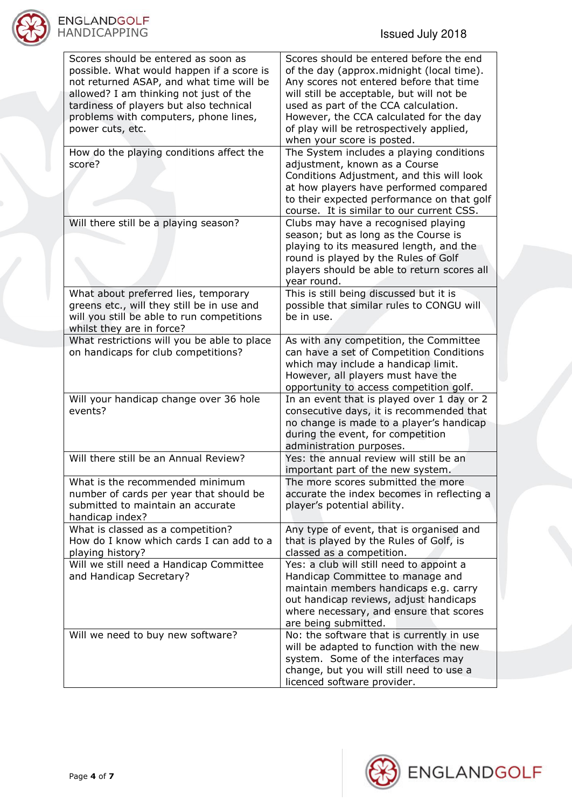

| Scores should be entered as soon as<br>possible. What would happen if a score is<br>not returned ASAP, and what time will be<br>allowed? I am thinking not just of the<br>tardiness of players but also technical<br>problems with computers, phone lines,<br>power cuts, etc. | Scores should be entered before the end<br>of the day (approx.midnight (local time).<br>Any scores not entered before that time<br>will still be acceptable, but will not be<br>used as part of the CCA calculation.<br>However, the CCA calculated for the day<br>of play will be retrospectively applied,<br>when your score is posted. |
|--------------------------------------------------------------------------------------------------------------------------------------------------------------------------------------------------------------------------------------------------------------------------------|-------------------------------------------------------------------------------------------------------------------------------------------------------------------------------------------------------------------------------------------------------------------------------------------------------------------------------------------|
| How do the playing conditions affect the<br>score?                                                                                                                                                                                                                             | The System includes a playing conditions<br>adjustment, known as a Course<br>Conditions Adjustment, and this will look<br>at how players have performed compared<br>to their expected performance on that golf<br>course. It is similar to our current CSS.                                                                               |
| Will there still be a playing season?                                                                                                                                                                                                                                          | Clubs may have a recognised playing<br>season; but as long as the Course is<br>playing to its measured length, and the<br>round is played by the Rules of Golf<br>players should be able to return scores all<br>year round.                                                                                                              |
| What about preferred lies, temporary<br>greens etc., will they still be in use and<br>will you still be able to run competitions<br>whilst they are in force?                                                                                                                  | This is still being discussed but it is<br>possible that similar rules to CONGU will<br>be in use.                                                                                                                                                                                                                                        |
| What restrictions will you be able to place<br>on handicaps for club competitions?                                                                                                                                                                                             | As with any competition, the Committee<br>can have a set of Competition Conditions<br>which may include a handicap limit.<br>However, all players must have the<br>opportunity to access competition golf.                                                                                                                                |
| Will your handicap change over 36 hole<br>events?                                                                                                                                                                                                                              | In an event that is played over 1 day or 2<br>consecutive days, it is recommended that<br>no change is made to a player's handicap<br>during the event, for competition<br>administration purposes.                                                                                                                                       |
| Will there still be an Annual Review?                                                                                                                                                                                                                                          | Yes: the annual review will still be an<br>important part of the new system.                                                                                                                                                                                                                                                              |
| What is the recommended minimum<br>number of cards per year that should be<br>submitted to maintain an accurate<br>handicap index?                                                                                                                                             | The more scores submitted the more<br>accurate the index becomes in reflecting a<br>player's potential ability.                                                                                                                                                                                                                           |
| What is classed as a competition?<br>How do I know which cards I can add to a<br>playing history?                                                                                                                                                                              | Any type of event, that is organised and<br>that is played by the Rules of Golf, is<br>classed as a competition.                                                                                                                                                                                                                          |
| Will we still need a Handicap Committee<br>and Handicap Secretary?                                                                                                                                                                                                             | Yes: a club will still need to appoint a<br>Handicap Committee to manage and<br>maintain members handicaps e.g. carry<br>out handicap reviews, adjust handicaps<br>where necessary, and ensure that scores<br>are being submitted.                                                                                                        |
| Will we need to buy new software?                                                                                                                                                                                                                                              | No: the software that is currently in use<br>will be adapted to function with the new<br>system. Some of the interfaces may                                                                                                                                                                                                               |
|                                                                                                                                                                                                                                                                                | change, but you will still need to use a<br>licenced software provider.                                                                                                                                                                                                                                                                   |

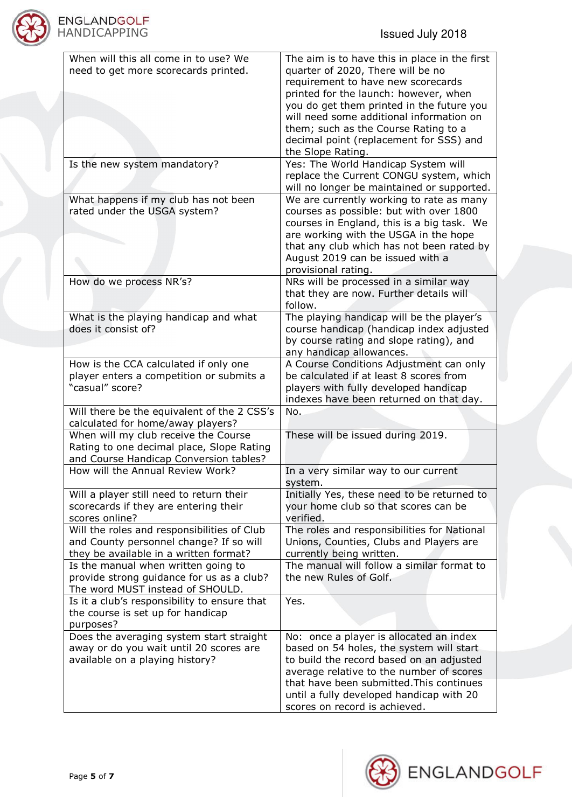

| When will this all come in to use? We        | The aim is to have this in place in the first |
|----------------------------------------------|-----------------------------------------------|
| need to get more scorecards printed.         | quarter of 2020, There will be no             |
|                                              | requirement to have new scorecards            |
|                                              | printed for the launch: however, when         |
|                                              | you do get them printed in the future you     |
|                                              | will need some additional information on      |
|                                              | them; such as the Course Rating to a          |
|                                              | decimal point (replacement for SSS) and       |
|                                              |                                               |
|                                              | the Slope Rating.                             |
| Is the new system mandatory?                 | Yes: The World Handicap System will           |
|                                              | replace the Current CONGU system, which       |
|                                              | will no longer be maintained or supported.    |
| What happens if my club has not been         | We are currently working to rate as many      |
| rated under the USGA system?                 | courses as possible: but with over 1800       |
|                                              | courses in England, this is a big task. We    |
|                                              | are working with the USGA in the hope         |
|                                              | that any club which has not been rated by     |
|                                              | August 2019 can be issued with a              |
|                                              | provisional rating.                           |
| How do we process NR's?                      | NRs will be processed in a similar way        |
|                                              |                                               |
|                                              | that they are now. Further details will       |
|                                              | follow.                                       |
| What is the playing handicap and what        | The playing handicap will be the player's     |
| does it consist of?                          | course handicap (handicap index adjusted      |
|                                              | by course rating and slope rating), and       |
|                                              | any handicap allowances.                      |
| How is the CCA calculated if only one        | A Course Conditions Adjustment can only       |
| player enters a competition or submits a     | be calculated if at least 8 scores from       |
| "casual" score?                              | players with fully developed handicap         |
|                                              | indexes have been returned on that day.       |
| Will there be the equivalent of the 2 CSS's  | No.                                           |
| calculated for home/away players?            |                                               |
| When will my club receive the Course         | These will be issued during 2019.             |
|                                              |                                               |
| Rating to one decimal place, Slope Rating    |                                               |
| and Course Handicap Conversion tables?       |                                               |
| How will the Annual Review Work?             | In a very similar way to our current          |
|                                              | system.                                       |
| Will a player still need to return their     | Initially Yes, these need to be returned to   |
| scorecards if they are entering their        | your home club so that scores can be          |
| scores online?                               | verified.                                     |
| Will the roles and responsibilities of Club  | The roles and responsibilities for National   |
| and County personnel change? If so will      | Unions, Counties, Clubs and Players are       |
| they be available in a written format?       | currently being written.                      |
| Is the manual when written going to          | The manual will follow a similar format to    |
| provide strong guidance for us as a club?    | the new Rules of Golf.                        |
| The word MUST instead of SHOULD.             |                                               |
| Is it a club's responsibility to ensure that | Yes.                                          |
|                                              |                                               |
| the course is set up for handicap            |                                               |
| purposes?                                    |                                               |
| Does the averaging system start straight     | No: once a player is allocated an index       |
| away or do you wait until 20 scores are      | based on 54 holes, the system will start      |
| available on a playing history?              | to build the record based on an adjusted      |
|                                              | average relative to the number of scores      |
|                                              | that have been submitted. This continues      |
|                                              | until a fully developed handicap with 20      |
|                                              | scores on record is achieved.                 |

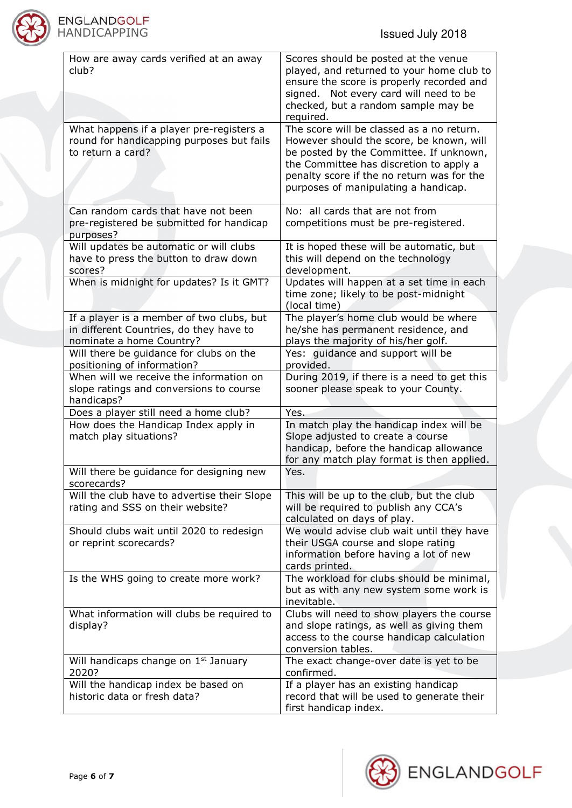

| How are away cards verified at an away<br>club?                                                                   | Scores should be posted at the venue<br>played, and returned to your home club to<br>ensure the score is properly recorded and<br>signed. Not every card will need to be<br>checked, but a random sample may be<br>required.                                      |
|-------------------------------------------------------------------------------------------------------------------|-------------------------------------------------------------------------------------------------------------------------------------------------------------------------------------------------------------------------------------------------------------------|
| What happens if a player pre-registers a<br>round for handicapping purposes but fails<br>to return a card?        | The score will be classed as a no return.<br>However should the score, be known, will<br>be posted by the Committee. If unknown,<br>the Committee has discretion to apply a<br>penalty score if the no return was for the<br>purposes of manipulating a handicap. |
| Can random cards that have not been<br>pre-registered be submitted for handicap<br>purposes?                      | No: all cards that are not from<br>competitions must be pre-registered.                                                                                                                                                                                           |
| Will updates be automatic or will clubs<br>have to press the button to draw down<br>scores?                       | It is hoped these will be automatic, but<br>this will depend on the technology<br>development.                                                                                                                                                                    |
| When is midnight for updates? Is it GMT?                                                                          | Updates will happen at a set time in each<br>time zone; likely to be post-midnight<br>(local time)                                                                                                                                                                |
| If a player is a member of two clubs, but<br>in different Countries, do they have to<br>nominate a home Country?  | The player's home club would be where<br>he/she has permanent residence, and<br>plays the majority of his/her golf.                                                                                                                                               |
| Will there be guidance for clubs on the<br>positioning of information?<br>When will we receive the information on | Yes: guidance and support will be<br>provided.<br>During 2019, if there is a need to get this                                                                                                                                                                     |
| slope ratings and conversions to course<br>handicaps?                                                             | sooner please speak to your County.                                                                                                                                                                                                                               |
| Does a player still need a home club?                                                                             | Yes.                                                                                                                                                                                                                                                              |
| How does the Handicap Index apply in<br>match play situations?                                                    | In match play the handicap index will be<br>Slope adjusted to create a course<br>handicap, before the handicap allowance<br>for any match play format is then applied.                                                                                            |
| Will there be guidance for designing new<br>scorecards?                                                           | Yes.                                                                                                                                                                                                                                                              |
| Will the club have to advertise their Slope<br>rating and SSS on their website?                                   | This will be up to the club, but the club<br>will be required to publish any CCA's<br>calculated on days of play.                                                                                                                                                 |
| Should clubs wait until 2020 to redesign<br>or reprint scorecards?                                                | We would advise club wait until they have<br>their USGA course and slope rating<br>information before having a lot of new<br>cards printed.                                                                                                                       |
| Is the WHS going to create more work?                                                                             | The workload for clubs should be minimal,<br>but as with any new system some work is<br>inevitable.                                                                                                                                                               |
| What information will clubs be required to<br>display?                                                            | Clubs will need to show players the course<br>and slope ratings, as well as giving them<br>access to the course handicap calculation<br>conversion tables.                                                                                                        |
| Will handicaps change on 1 <sup>st</sup> January<br>2020?                                                         | The exact change-over date is yet to be<br>confirmed.                                                                                                                                                                                                             |
| Will the handicap index be based on<br>historic data or fresh data?                                               | If a player has an existing handicap<br>record that will be used to generate their<br>first handicap index.                                                                                                                                                       |